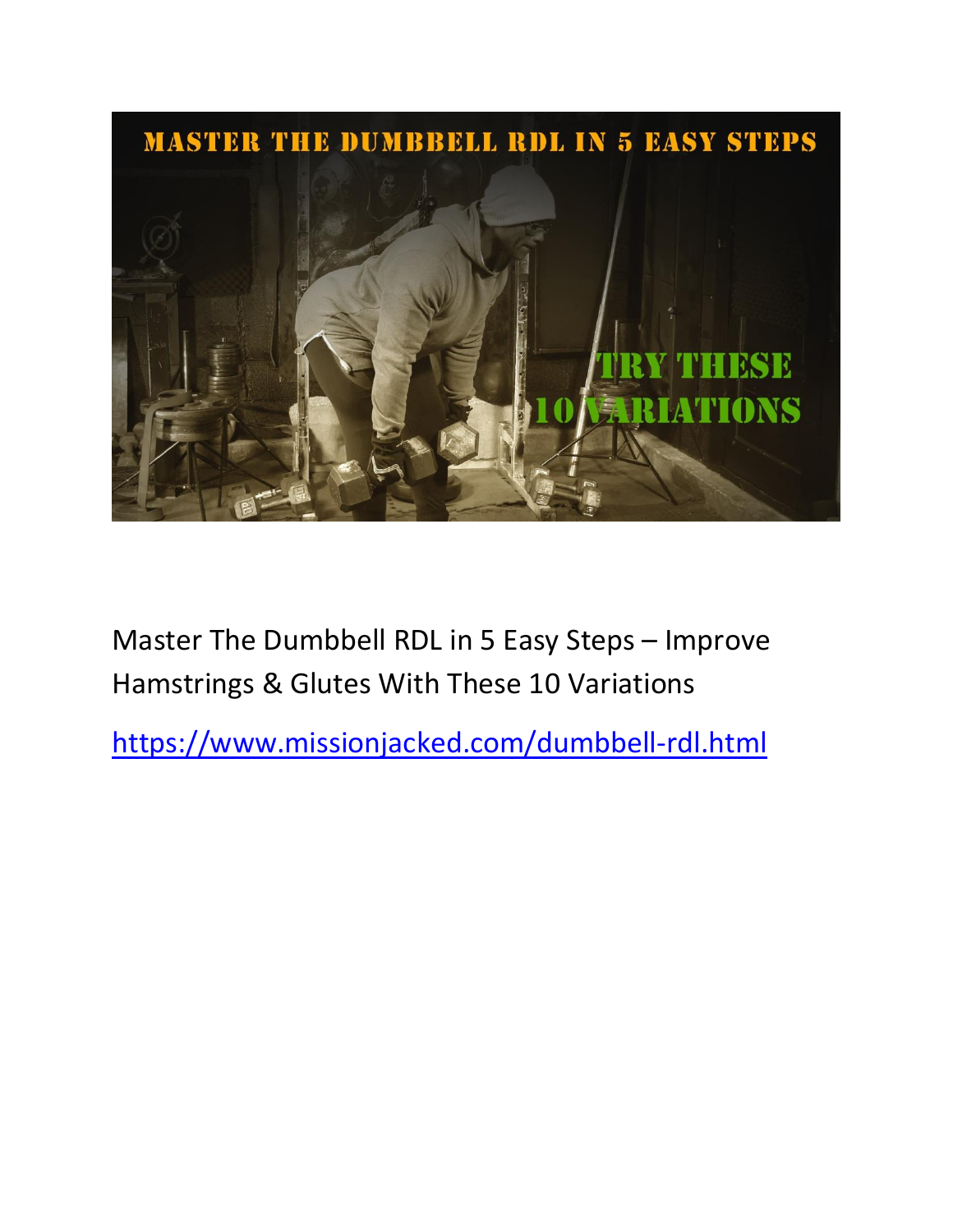# MASTER THE DUMBBELL RDL IN 5 EASY STEPS NR. **LATIONS**

Master The Dumbbell RDL in 5 Easy Steps – Improve Hamstrings & Glutes With These 10 Variations

<https://www.missionjacked.com/dumbbell-rdl.html>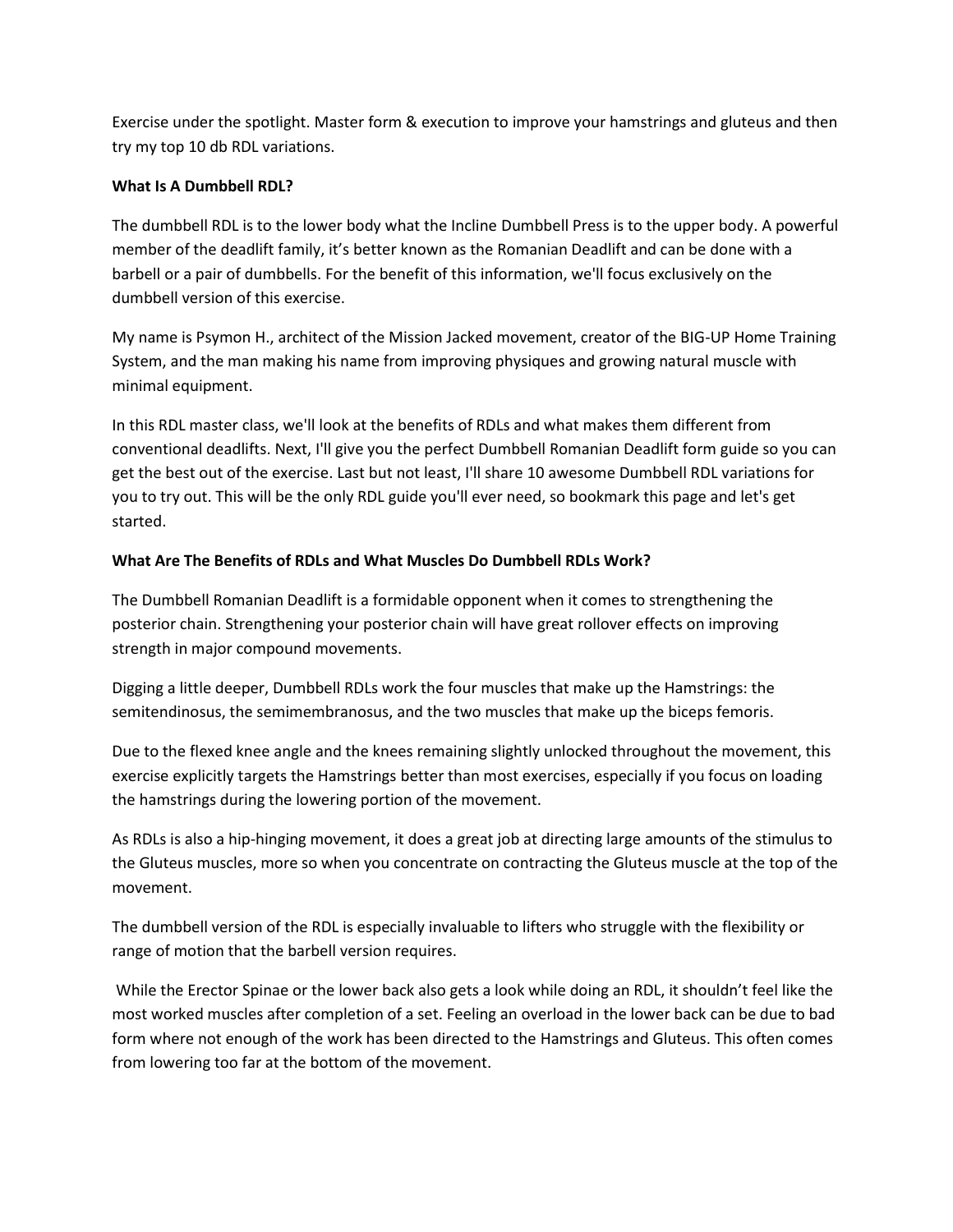Exercise under the spotlight. Master form & execution to improve your hamstrings and gluteus and then try my top 10 db RDL variations.

## **What Is A Dumbbell RDL?**

The dumbbell RDL is to the lower body what the Incline Dumbbell Press is to the upper body. A powerful member of the deadlift family, it's better known as the Romanian Deadlift and can be done with a barbell or a pair of dumbbells. For the benefit of this information, we'll focus exclusively on the dumbbell version of this exercise.

My name is Psymon H., architect of the Mission Jacked movement, creator of the BIG-UP Home Training System, and the man making his name from improving physiques and growing natural muscle with minimal equipment.

In this RDL master class, we'll look at the benefits of RDLs and what makes them different from conventional deadlifts. Next, I'll give you the perfect Dumbbell Romanian Deadlift form guide so you can get the best out of the exercise. Last but not least, I'll share 10 awesome Dumbbell RDL variations for you to try out. This will be the only RDL guide you'll ever need, so bookmark this page and let's get started.

## **What Are The Benefits of RDLs and What Muscles Do Dumbbell RDLs Work?**

The Dumbbell Romanian Deadlift is a formidable opponent when it comes to strengthening the posterior chain. Strengthening your posterior chain will have great rollover effects on improving strength in major compound movements.

Digging a little deeper, Dumbbell RDLs work the four muscles that make up the Hamstrings: the semitendinosus, the semimembranosus, and the two muscles that make up the biceps femoris.

Due to the flexed knee angle and the knees remaining slightly unlocked throughout the movement, this exercise explicitly targets the Hamstrings better than most exercises, especially if you focus on loading the hamstrings during the lowering portion of the movement.

As RDLs is also a hip-hinging movement, it does a great job at directing large amounts of the stimulus to the Gluteus muscles, more so when you concentrate on contracting the Gluteus muscle at the top of the movement.

The dumbbell version of the RDL is especially invaluable to lifters who struggle with the flexibility or range of motion that the barbell version requires.

While the Erector Spinae or the lower back also gets a look while doing an RDL, it shouldn't feel like the most worked muscles after completion of a set. Feeling an overload in the lower back can be due to bad form where not enough of the work has been directed to the Hamstrings and Gluteus. This often comes from lowering too far at the bottom of the movement.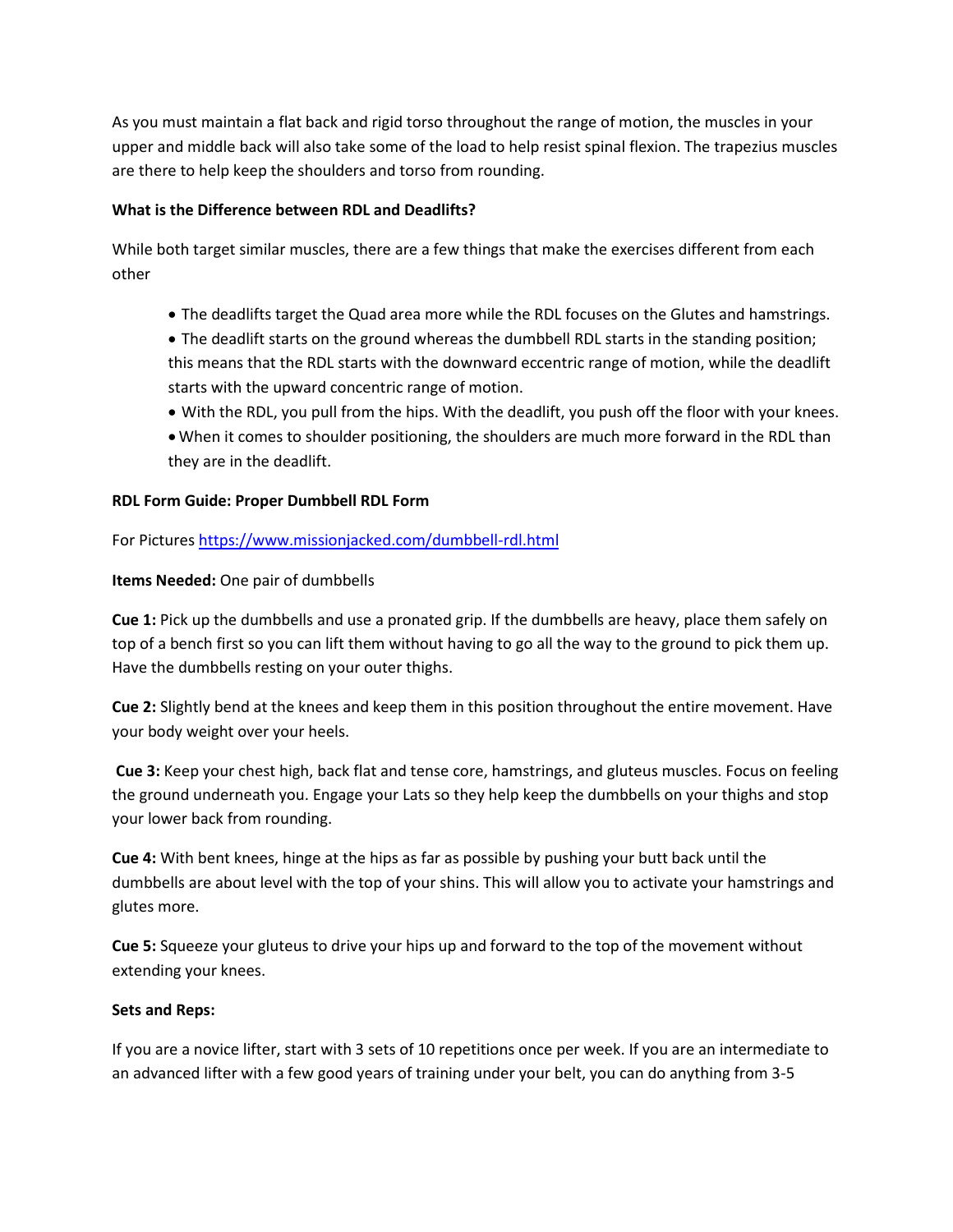As you must maintain a flat back and rigid torso throughout the range of motion, the muscles in your upper and middle back will also take some of the load to help resist spinal flexion. The trapezius muscles are there to help keep the shoulders and torso from rounding.

## **What is the Difference between RDL and Deadlifts?**

While both target similar muscles, there are a few things that make the exercises different from each other

- The deadlifts target the Quad area more while the RDL focuses on the Glutes and hamstrings.
- The deadlift starts on the ground whereas the dumbbell RDL starts in the standing position; this means that the RDL starts with the downward eccentric range of motion, while the deadlift starts with the upward concentric range of motion.
- With the RDL, you pull from the hips. With the deadlift, you push off the floor with your knees.
- When it comes to shoulder positioning, the shoulders are much more forward in the RDL than they are in the deadlift.

## **RDL Form Guide: Proper Dumbbell RDL Form**

For Picture[s https://www.missionjacked.com/dumbbell-rdl.html](https://www.missionjacked.com/dumbbell-rdl.html)

## **Items Needed:** One pair of dumbbells

**Cue 1:** Pick up the dumbbells and use a pronated grip. If the dumbbells are heavy, place them safely on top of a bench first so you can lift them without having to go all the way to the ground to pick them up. Have the dumbbells resting on your outer thighs.

**Cue 2:** Slightly bend at the knees and keep them in this position throughout the entire movement. Have your body weight over your heels.

**Cue 3:** Keep your chest high, back flat and tense core, hamstrings, and gluteus muscles. Focus on feeling the ground underneath you. Engage your Lats so they help keep the dumbbells on your thighs and stop your lower back from rounding.

**Cue 4:** With bent knees, hinge at the hips as far as possible by pushing your butt back until the dumbbells are about level with the top of your shins. This will allow you to activate your hamstrings and glutes more.

**Cue 5:** Squeeze your gluteus to drive your hips up and forward to the top of the movement without extending your knees.

## **Sets and Reps:**

If you are a novice lifter, start with 3 sets of 10 repetitions once per week. If you are an intermediate to an advanced lifter with a few good years of training under your belt, you can do anything from 3-5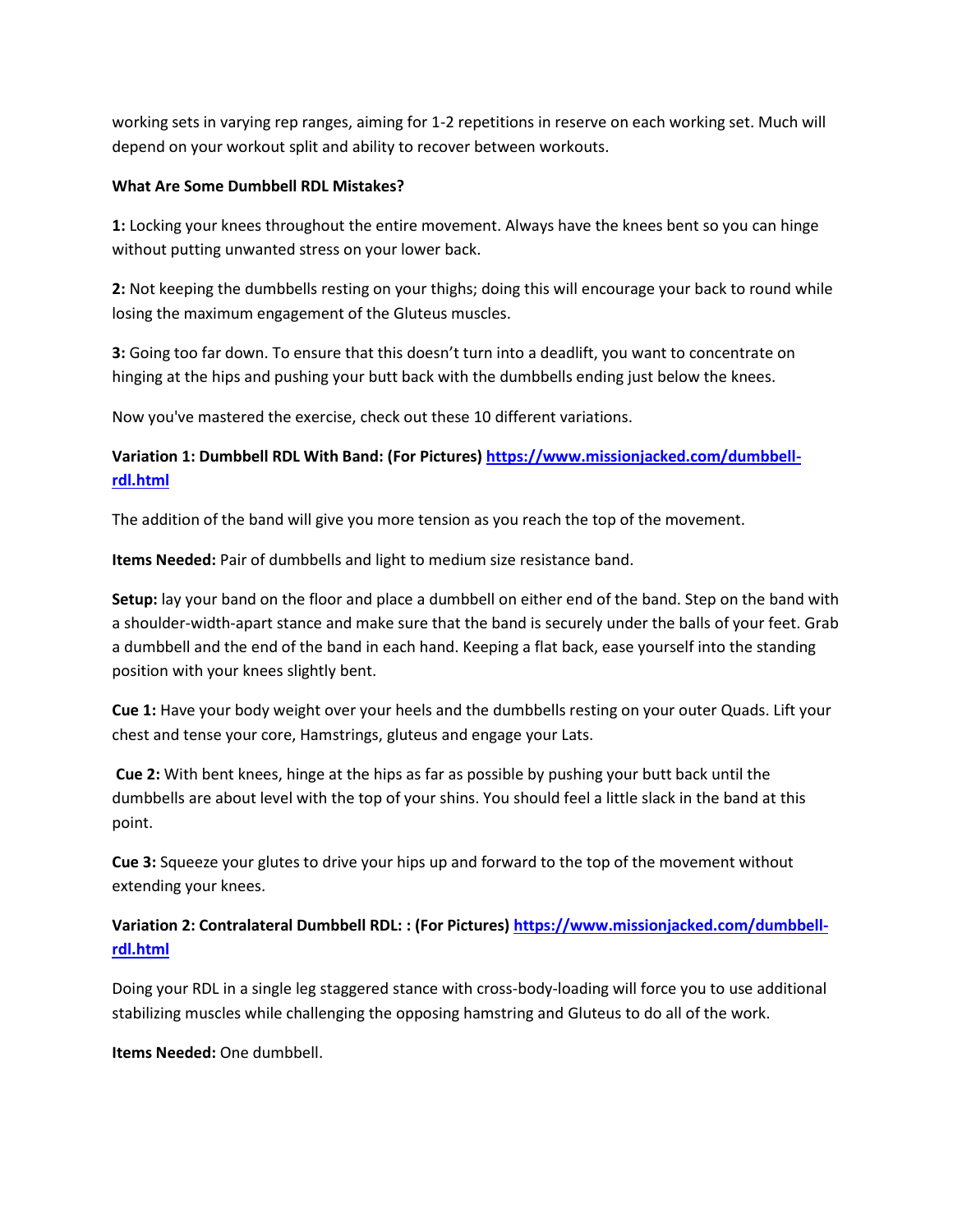working sets in varying rep ranges, aiming for 1-2 repetitions in reserve on each working set. Much will depend on your workout split and ability to recover between workouts.

#### **What Are Some Dumbbell RDL Mistakes?**

**1:** Locking your knees throughout the entire movement. Always have the knees bent so you can hinge without putting unwanted stress on your lower back.

**2:** Not keeping the dumbbells resting on your thighs; doing this will encourage your back to round while losing the maximum engagement of the Gluteus muscles.

**3:** Going too far down. To ensure that this doesn't turn into a deadlift, you want to concentrate on hinging at the hips and pushing your butt back with the dumbbells ending just below the knees.

Now you've mastered the exercise, check out these 10 different variations.

# **Variation 1: Dumbbell RDL With Band: (For Pictures) [https://www.missionjacked.com/dumbbell](https://www.missionjacked.com/dumbbell-rdl.html)[rdl.html](https://www.missionjacked.com/dumbbell-rdl.html)**

The addition of the band will give you more tension as you reach the top of the movement.

**Items Needed:** Pair of dumbbells and light to medium size resistance band.

**Setup:** lay your band on the floor and place a dumbbell on either end of the band. Step on the band with a shoulder-width-apart stance and make sure that the band is securely under the balls of your feet. Grab a dumbbell and the end of the band in each hand. Keeping a flat back, ease yourself into the standing position with your knees slightly bent.

**Cue 1:** Have your body weight over your heels and the dumbbells resting on your outer Quads. Lift your chest and tense your core, Hamstrings, gluteus and engage your Lats.

**Cue 2:** With bent knees, hinge at the hips as far as possible by pushing your butt back until the dumbbells are about level with the top of your shins. You should feel a little slack in the band at this point.

**Cue 3:** Squeeze your glutes to drive your hips up and forward to the top of the movement without extending your knees.

# **Variation 2: Contralateral Dumbbell RDL: : (For Pictures) [https://www.missionjacked.com/dumbbell](https://www.missionjacked.com/dumbbell-rdl.html)[rdl.html](https://www.missionjacked.com/dumbbell-rdl.html)**

Doing your RDL in a single leg staggered stance with cross-body-loading will force you to use additional stabilizing muscles while challenging the opposing hamstring and Gluteus to do all of the work.

**Items Needed:** One dumbbell.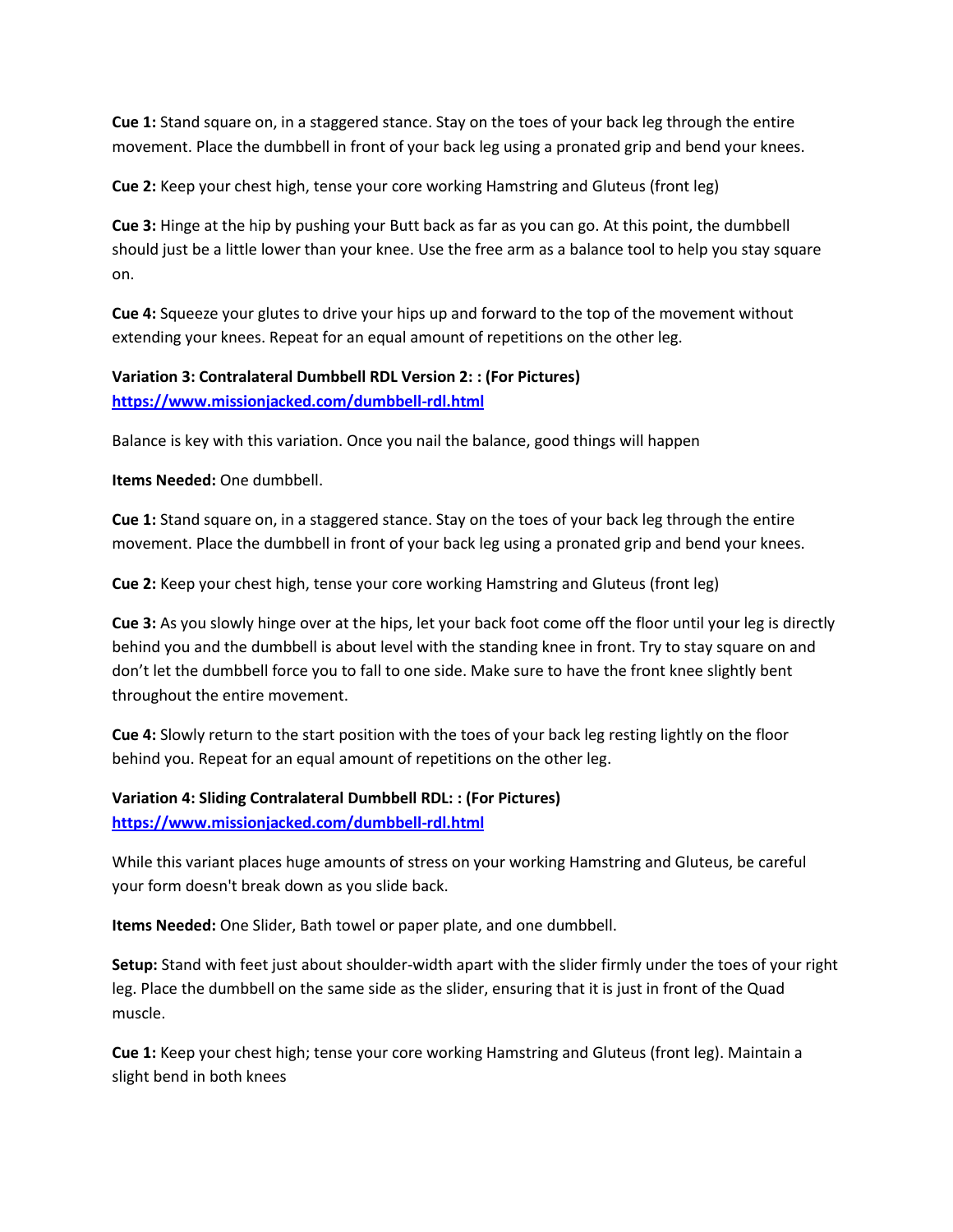**Cue 1:** Stand square on, in a staggered stance. Stay on the toes of your back leg through the entire movement. Place the dumbbell in front of your back leg using a pronated grip and bend your knees.

**Cue 2:** Keep your chest high, tense your core working Hamstring and Gluteus (front leg)

**Cue 3:** Hinge at the hip by pushing your Butt back as far as you can go. At this point, the dumbbell should just be a little lower than your knee. Use the free arm as a balance tool to help you stay square on.

**Cue 4:** Squeeze your glutes to drive your hips up and forward to the top of the movement without extending your knees. Repeat for an equal amount of repetitions on the other leg.

# **Variation 3: Contralateral Dumbbell RDL Version 2: : (For Pictures) <https://www.missionjacked.com/dumbbell-rdl.html>**

Balance is key with this variation. Once you nail the balance, good things will happen

**Items Needed:** One dumbbell.

**Cue 1:** Stand square on, in a staggered stance. Stay on the toes of your back leg through the entire movement. Place the dumbbell in front of your back leg using a pronated grip and bend your knees.

**Cue 2:** Keep your chest high, tense your core working Hamstring and Gluteus (front leg)

**Cue 3:** As you slowly hinge over at the hips, let your back foot come off the floor until your leg is directly behind you and the dumbbell is about level with the standing knee in front. Try to stay square on and don't let the dumbbell force you to fall to one side. Make sure to have the front knee slightly bent throughout the entire movement.

**Cue 4:** Slowly return to the start position with the toes of your back leg resting lightly on the floor behind you. Repeat for an equal amount of repetitions on the other leg.

**Variation 4: Sliding Contralateral Dumbbell RDL: : (For Pictures) <https://www.missionjacked.com/dumbbell-rdl.html>**

While this variant places huge amounts of stress on your working Hamstring and Gluteus, be careful your form doesn't break down as you slide back.

**Items Needed:** One Slider, Bath towel or paper plate, and one dumbbell.

**Setup:** Stand with feet just about shoulder-width apart with the slider firmly under the toes of your right leg. Place the dumbbell on the same side as the slider, ensuring that it is just in front of the Quad muscle.

**Cue 1:** Keep your chest high; tense your core working Hamstring and Gluteus (front leg). Maintain a slight bend in both knees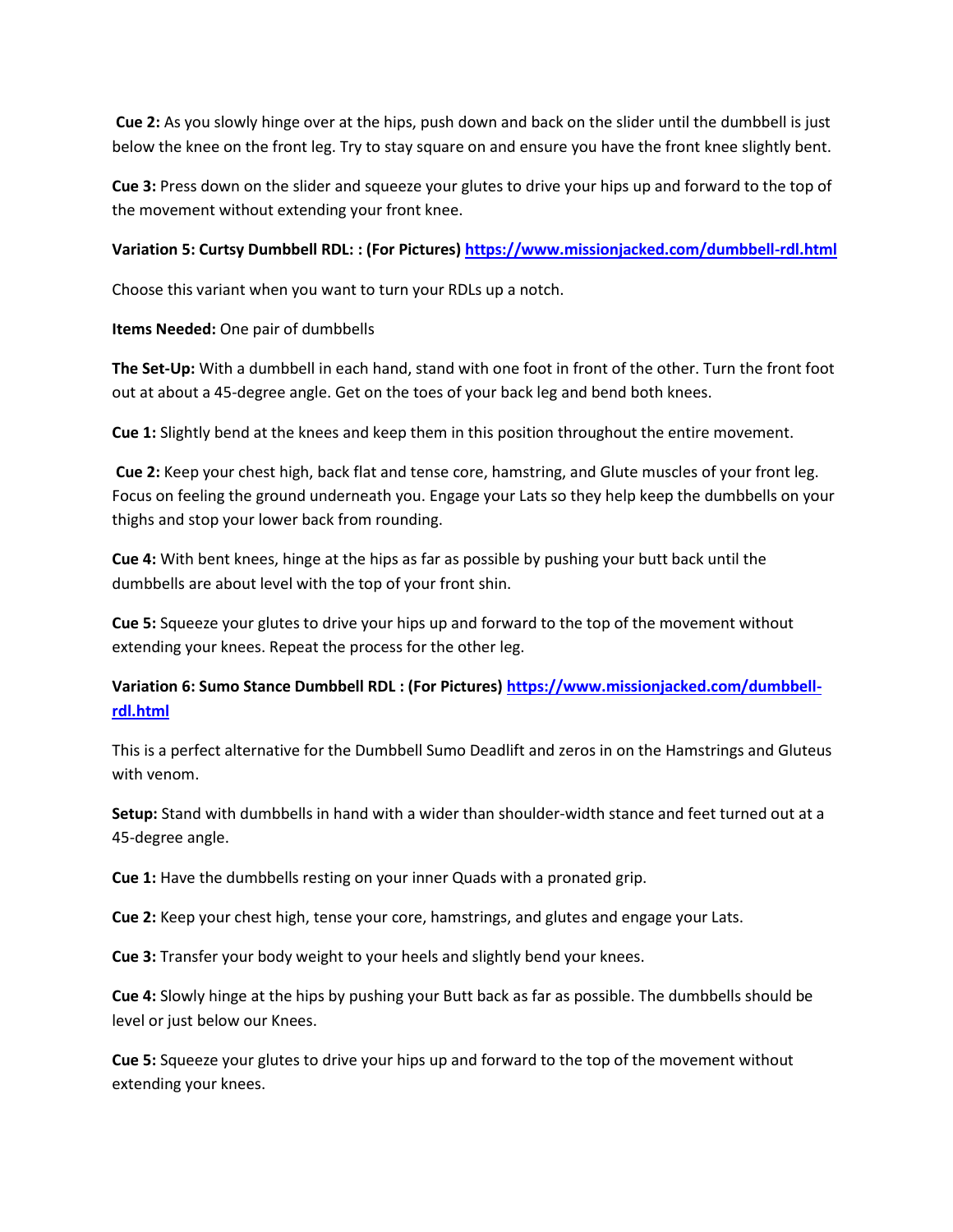**Cue 2:** As you slowly hinge over at the hips, push down and back on the slider until the dumbbell is just below the knee on the front leg. Try to stay square on and ensure you have the front knee slightly bent.

**Cue 3:** Press down on the slider and squeeze your glutes to drive your hips up and forward to the top of the movement without extending your front knee.

## **Variation 5: Curtsy Dumbbell RDL: : (For Pictures[\) https://www.missionjacked.com/dumbbell-rdl.html](https://www.missionjacked.com/dumbbell-rdl.html)**

Choose this variant when you want to turn your RDLs up a notch.

**Items Needed:** One pair of dumbbells

**The Set-Up:** With a dumbbell in each hand, stand with one foot in front of the other. Turn the front foot out at about a 45-degree angle. Get on the toes of your back leg and bend both knees.

**Cue 1:** Slightly bend at the knees and keep them in this position throughout the entire movement.

**Cue 2:** Keep your chest high, back flat and tense core, hamstring, and Glute muscles of your front leg. Focus on feeling the ground underneath you. Engage your Lats so they help keep the dumbbells on your thighs and stop your lower back from rounding.

**Cue 4:** With bent knees, hinge at the hips as far as possible by pushing your butt back until the dumbbells are about level with the top of your front shin.

**Cue 5:** Squeeze your glutes to drive your hips up and forward to the top of the movement without extending your knees. Repeat the process for the other leg.

# **Variation 6: Sumo Stance Dumbbell RDL : (For Pictures[\) https://www.missionjacked.com/dumbbell](https://www.missionjacked.com/dumbbell-rdl.html)[rdl.html](https://www.missionjacked.com/dumbbell-rdl.html)**

This is a perfect alternative for the Dumbbell Sumo Deadlift and zeros in on the Hamstrings and Gluteus with venom.

**Setup:** Stand with dumbbells in hand with a wider than shoulder-width stance and feet turned out at a 45-degree angle.

**Cue 1:** Have the dumbbells resting on your inner Quads with a pronated grip.

**Cue 2:** Keep your chest high, tense your core, hamstrings, and glutes and engage your Lats.

**Cue 3:** Transfer your body weight to your heels and slightly bend your knees.

**Cue 4:** Slowly hinge at the hips by pushing your Butt back as far as possible. The dumbbells should be level or just below our Knees.

**Cue 5:** Squeeze your glutes to drive your hips up and forward to the top of the movement without extending your knees.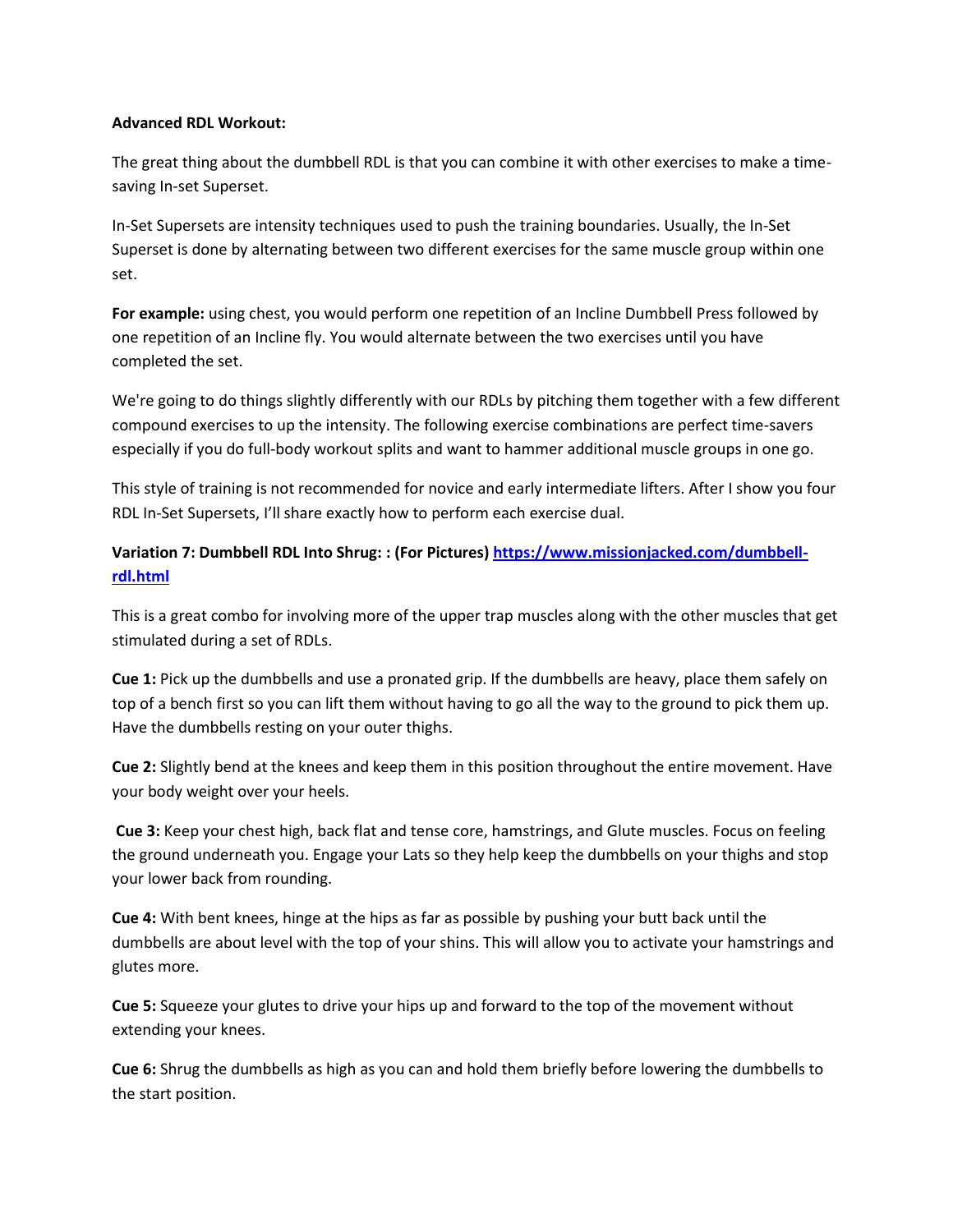### **Advanced RDL Workout:**

The great thing about the dumbbell RDL is that you can combine it with other exercises to make a timesaving In-set Superset.

In-Set Supersets are intensity techniques used to push the training boundaries. Usually, the In-Set Superset is done by alternating between two different exercises for the same muscle group within one set.

**For example:** using chest, you would perform one repetition of an Incline Dumbbell Press followed by one repetition of an Incline fly. You would alternate between the two exercises until you have completed the set.

We're going to do things slightly differently with our RDLs by pitching them together with a few different compound exercises to up the intensity. The following exercise combinations are perfect time-savers especially if you do full-body workout splits and want to hammer additional muscle groups in one go.

This style of training is not recommended for novice and early intermediate lifters. After I show you four RDL In-Set Supersets, I'll share exactly how to perform each exercise dual.

# **Variation 7: Dumbbell RDL Into Shrug: : (For Pictures) [https://www.missionjacked.com/dumbbell](https://www.missionjacked.com/dumbbell-rdl.html)[rdl.html](https://www.missionjacked.com/dumbbell-rdl.html)**

This is a great combo for involving more of the upper trap muscles along with the other muscles that get stimulated during a set of RDLs.

**Cue 1:** Pick up the dumbbells and use a pronated grip. If the dumbbells are heavy, place them safely on top of a bench first so you can lift them without having to go all the way to the ground to pick them up. Have the dumbbells resting on your outer thighs.

**Cue 2:** Slightly bend at the knees and keep them in this position throughout the entire movement. Have your body weight over your heels.

**Cue 3:** Keep your chest high, back flat and tense core, hamstrings, and Glute muscles. Focus on feeling the ground underneath you. Engage your Lats so they help keep the dumbbells on your thighs and stop your lower back from rounding.

**Cue 4:** With bent knees, hinge at the hips as far as possible by pushing your butt back until the dumbbells are about level with the top of your shins. This will allow you to activate your hamstrings and glutes more.

**Cue 5:** Squeeze your glutes to drive your hips up and forward to the top of the movement without extending your knees.

**Cue 6:** Shrug the dumbbells as high as you can and hold them briefly before lowering the dumbbells to the start position.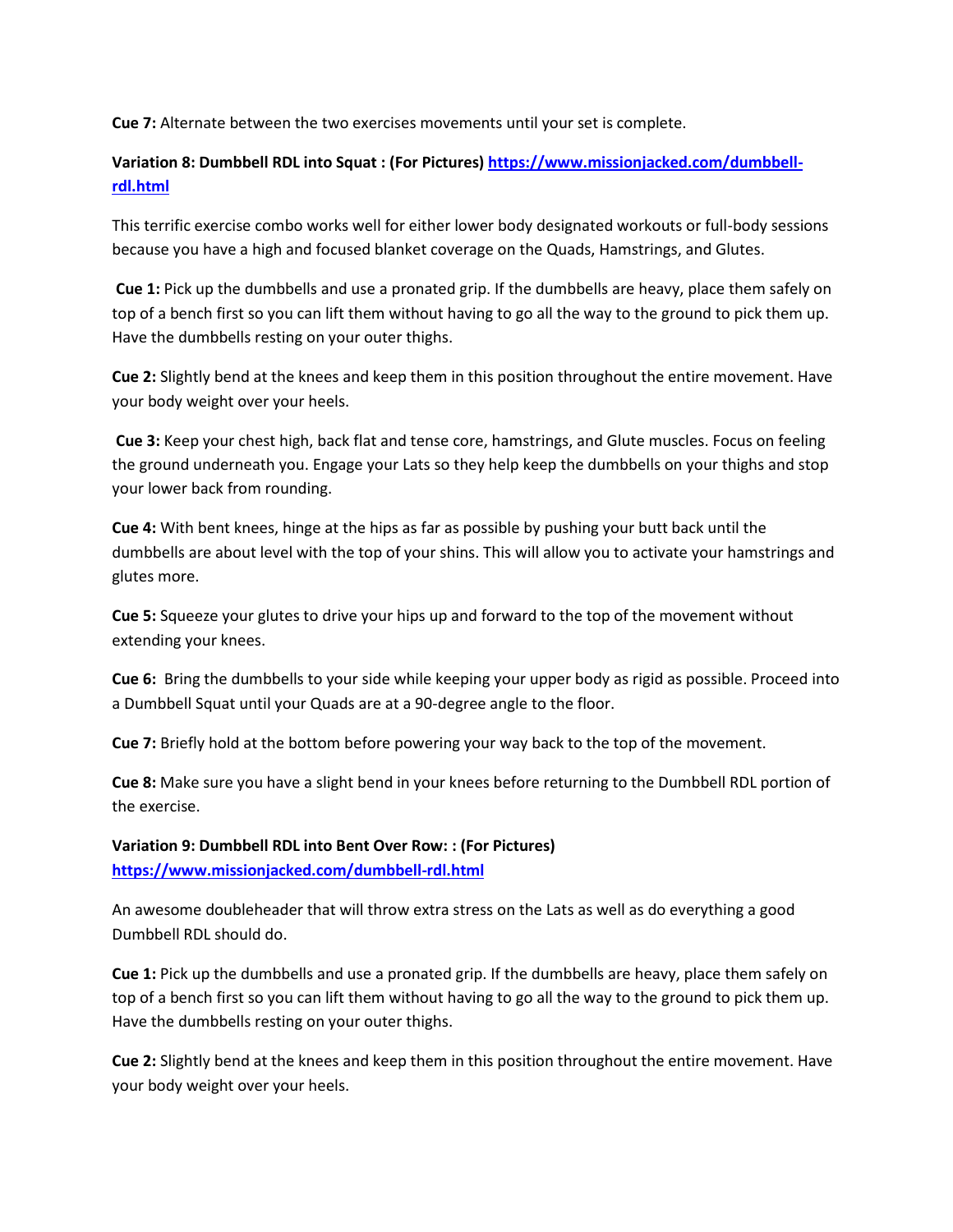**Cue 7:** Alternate between the two exercises movements until your set is complete.

# **Variation 8: Dumbbell RDL into Squat : (For Pictures[\) https://www.missionjacked.com/dumbbell](https://www.missionjacked.com/dumbbell-rdl.html)[rdl.html](https://www.missionjacked.com/dumbbell-rdl.html)**

This terrific exercise combo works well for either lower body designated workouts or full-body sessions because you have a high and focused blanket coverage on the Quads, Hamstrings, and Glutes.

**Cue 1:** Pick up the dumbbells and use a pronated grip. If the dumbbells are heavy, place them safely on top of a bench first so you can lift them without having to go all the way to the ground to pick them up. Have the dumbbells resting on your outer thighs.

**Cue 2:** Slightly bend at the knees and keep them in this position throughout the entire movement. Have your body weight over your heels.

**Cue 3:** Keep your chest high, back flat and tense core, hamstrings, and Glute muscles. Focus on feeling the ground underneath you. Engage your Lats so they help keep the dumbbells on your thighs and stop your lower back from rounding.

**Cue 4:** With bent knees, hinge at the hips as far as possible by pushing your butt back until the dumbbells are about level with the top of your shins. This will allow you to activate your hamstrings and glutes more.

**Cue 5:** Squeeze your glutes to drive your hips up and forward to the top of the movement without extending your knees.

**Cue 6:** Bring the dumbbells to your side while keeping your upper body as rigid as possible. Proceed into a Dumbbell Squat until your Quads are at a 90-degree angle to the floor.

**Cue 7:** Briefly hold at the bottom before powering your way back to the top of the movement.

**Cue 8:** Make sure you have a slight bend in your knees before returning to the Dumbbell RDL portion of the exercise.

**Variation 9: Dumbbell RDL into Bent Over Row: : (For Pictures) <https://www.missionjacked.com/dumbbell-rdl.html>**

An awesome doubleheader that will throw extra stress on the Lats as well as do everything a good Dumbbell RDL should do.

**Cue 1:** Pick up the dumbbells and use a pronated grip. If the dumbbells are heavy, place them safely on top of a bench first so you can lift them without having to go all the way to the ground to pick them up. Have the dumbbells resting on your outer thighs.

**Cue 2:** Slightly bend at the knees and keep them in this position throughout the entire movement. Have your body weight over your heels.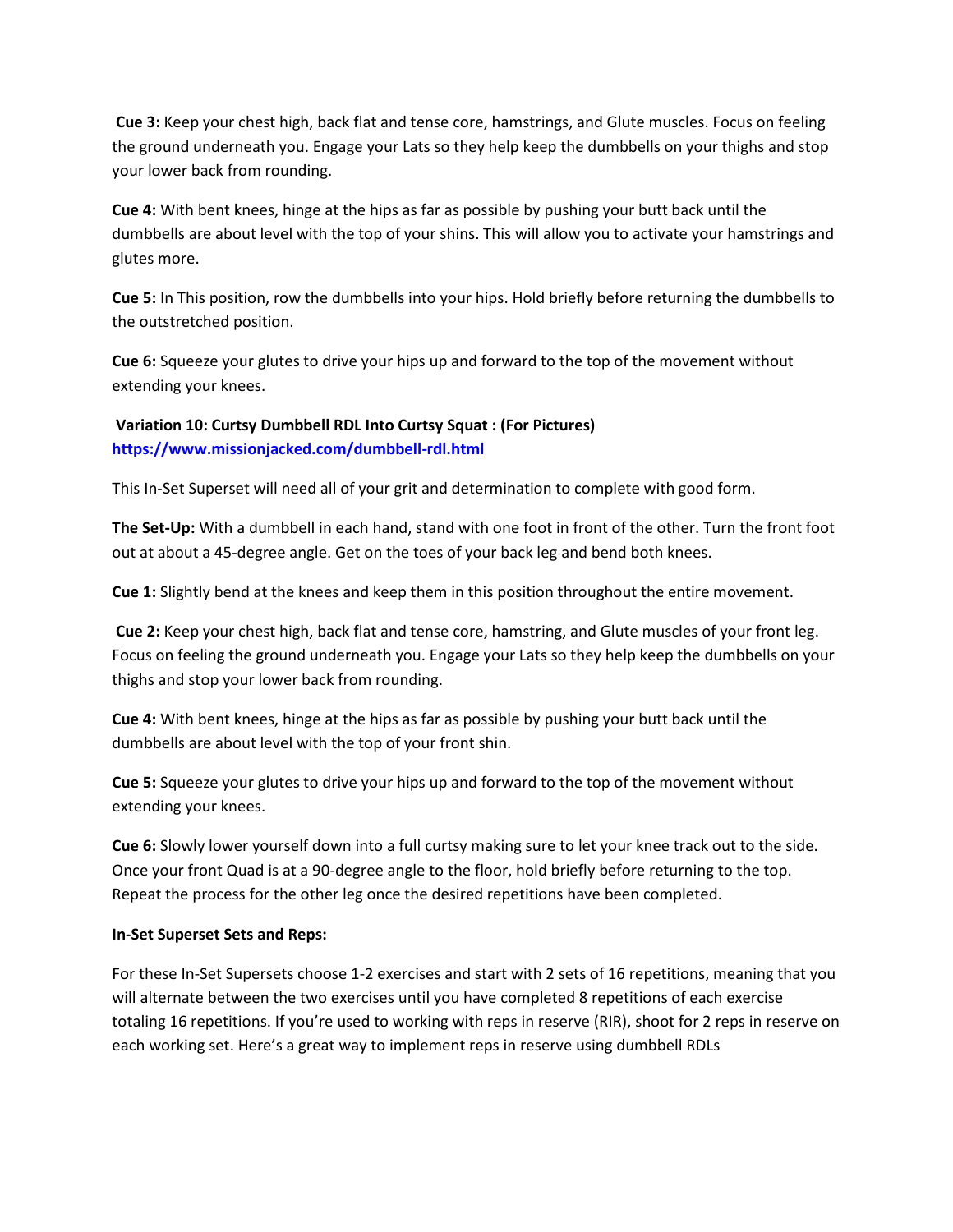**Cue 3:** Keep your chest high, back flat and tense core, hamstrings, and Glute muscles. Focus on feeling the ground underneath you. Engage your Lats so they help keep the dumbbells on your thighs and stop your lower back from rounding.

**Cue 4:** With bent knees, hinge at the hips as far as possible by pushing your butt back until the dumbbells are about level with the top of your shins. This will allow you to activate your hamstrings and glutes more.

**Cue 5:** In This position, row the dumbbells into your hips. Hold briefly before returning the dumbbells to the outstretched position.

**Cue 6:** Squeeze your glutes to drive your hips up and forward to the top of the movement without extending your knees.

**Variation 10: Curtsy Dumbbell RDL Into Curtsy Squat : (For Pictures) <https://www.missionjacked.com/dumbbell-rdl.html>**

This In-Set Superset will need all of your grit and determination to complete with good form.

**The Set-Up:** With a dumbbell in each hand, stand with one foot in front of the other. Turn the front foot out at about a 45-degree angle. Get on the toes of your back leg and bend both knees.

**Cue 1:** Slightly bend at the knees and keep them in this position throughout the entire movement.

**Cue 2:** Keep your chest high, back flat and tense core, hamstring, and Glute muscles of your front leg. Focus on feeling the ground underneath you. Engage your Lats so they help keep the dumbbells on your thighs and stop your lower back from rounding.

**Cue 4:** With bent knees, hinge at the hips as far as possible by pushing your butt back until the dumbbells are about level with the top of your front shin.

**Cue 5:** Squeeze your glutes to drive your hips up and forward to the top of the movement without extending your knees.

**Cue 6:** Slowly lower yourself down into a full curtsy making sure to let your knee track out to the side. Once your front Quad is at a 90-degree angle to the floor, hold briefly before returning to the top. Repeat the process for the other leg once the desired repetitions have been completed.

### **In-Set Superset Sets and Reps:**

For these In-Set Supersets choose 1-2 exercises and start with 2 sets of 16 repetitions, meaning that you will alternate between the two exercises until you have completed 8 repetitions of each exercise totaling 16 repetitions. If you're used to working with reps in reserve (RIR), shoot for 2 reps in reserve on each working set. Here's a great way to implement reps in reserve using dumbbell RDLs